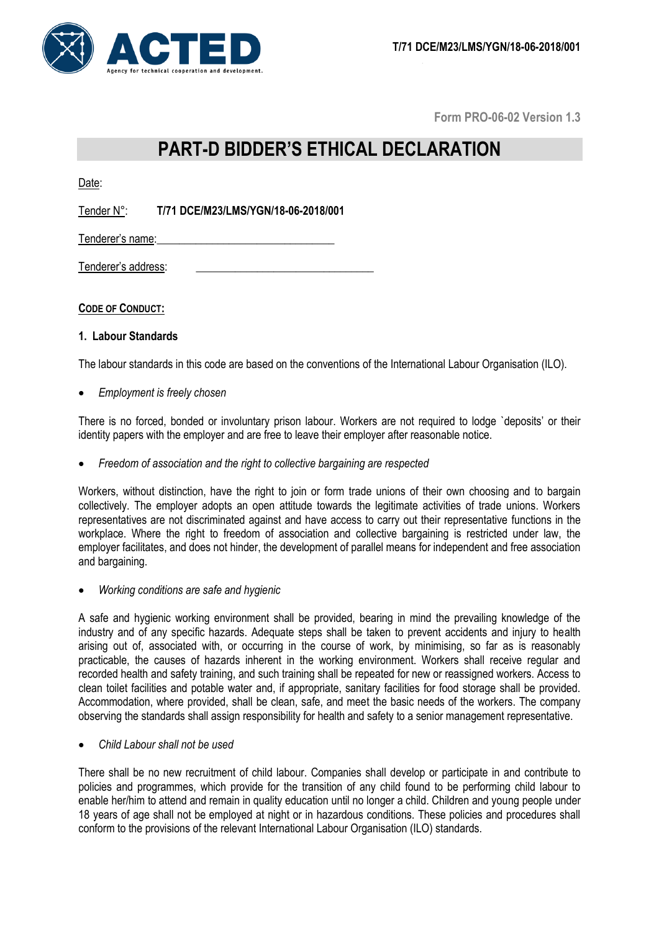

**Form PRO-06-02 Version 1.3**

# **PART-D BIDDER'S ETHICAL DECLARATION**

Date:

Tender N°: **T/71 DCE/M23/LMS/YGN/18-06-2018/001**

Tenderer's name:

Tenderer's address:

# **CODE OF CONDUCT:**

# **1. Labour Standards**

The labour standards in this code are based on the conventions of the International Labour Organisation (ILO).

*Employment is freely chosen*

There is no forced, bonded or involuntary prison labour. Workers are not required to lodge `deposits' or their identity papers with the employer and are free to leave their employer after reasonable notice.

*Freedom of association and the right to collective bargaining are respected*

Workers, without distinction, have the right to join or form trade unions of their own choosing and to bargain collectively. The employer adopts an open attitude towards the legitimate activities of trade unions. Workers representatives are not discriminated against and have access to carry out their representative functions in the workplace. Where the right to freedom of association and collective bargaining is restricted under law, the employer facilitates, and does not hinder, the development of parallel means for independent and free association and bargaining.

*Working conditions are safe and hygienic*

A safe and hygienic working environment shall be provided, bearing in mind the prevailing knowledge of the industry and of any specific hazards. Adequate steps shall be taken to prevent accidents and injury to health arising out of, associated with, or occurring in the course of work, by minimising, so far as is reasonably practicable, the causes of hazards inherent in the working environment. Workers shall receive regular and recorded health and safety training, and such training shall be repeated for new or reassigned workers. Access to clean toilet facilities and potable water and, if appropriate, sanitary facilities for food storage shall be provided. Accommodation, where provided, shall be clean, safe, and meet the basic needs of the workers. The company observing the standards shall assign responsibility for health and safety to a senior management representative.

*Child Labour shall not be used*

There shall be no new recruitment of child labour. Companies shall develop or participate in and contribute to policies and programmes, which provide for the transition of any child found to be performing child labour to enable her/him to attend and remain in quality education until no longer a child. Children and young people under 18 years of age shall not be employed at night or in hazardous conditions. These policies and procedures shall conform to the provisions of the relevant International Labour Organisation (ILO) standards.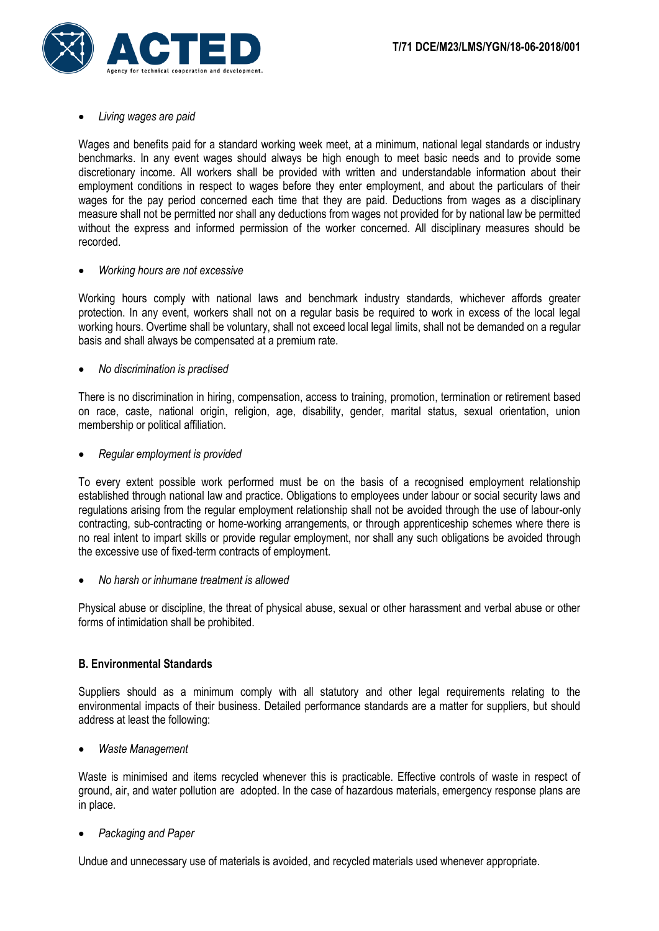

#### *Living wages are paid*

Wages and benefits paid for a standard working week meet, at a minimum, national legal standards or industry benchmarks. In any event wages should always be high enough to meet basic needs and to provide some discretionary income. All workers shall be provided with written and understandable information about their employment conditions in respect to wages before they enter employment, and about the particulars of their wages for the pay period concerned each time that they are paid. Deductions from wages as a disciplinary measure shall not be permitted nor shall any deductions from wages not provided for by national law be permitted without the express and informed permission of the worker concerned. All disciplinary measures should be recorded.

#### *Working hours are not excessive*

Working hours comply with national laws and benchmark industry standards, whichever affords greater protection. In any event, workers shall not on a regular basis be required to work in excess of the local legal working hours. Overtime shall be voluntary, shall not exceed local legal limits, shall not be demanded on a regular basis and shall always be compensated at a premium rate.

# *No discrimination is practised*

There is no discrimination in hiring, compensation, access to training, promotion, termination or retirement based on race, caste, national origin, religion, age, disability, gender, marital status, sexual orientation, union membership or political affiliation.

*Regular employment is provided*

To every extent possible work performed must be on the basis of a recognised employment relationship established through national law and practice. Obligations to employees under labour or social security laws and regulations arising from the regular employment relationship shall not be avoided through the use of labour-only contracting, sub-contracting or home-working arrangements, or through apprenticeship schemes where there is no real intent to impart skills or provide regular employment, nor shall any such obligations be avoided through the excessive use of fixed-term contracts of employment.

*No harsh or inhumane treatment is allowed*

Physical abuse or discipline, the threat of physical abuse, sexual or other harassment and verbal abuse or other forms of intimidation shall be prohibited.

# **B. Environmental Standards**

Suppliers should as a minimum comply with all statutory and other legal requirements relating to the environmental impacts of their business. Detailed performance standards are a matter for suppliers, but should address at least the following:

*Waste Management*

Waste is minimised and items recycled whenever this is practicable. Effective controls of waste in respect of ground, air, and water pollution are adopted. In the case of hazardous materials, emergency response plans are in place.

# *Packaging and Paper*

Undue and unnecessary use of materials is avoided, and recycled materials used whenever appropriate.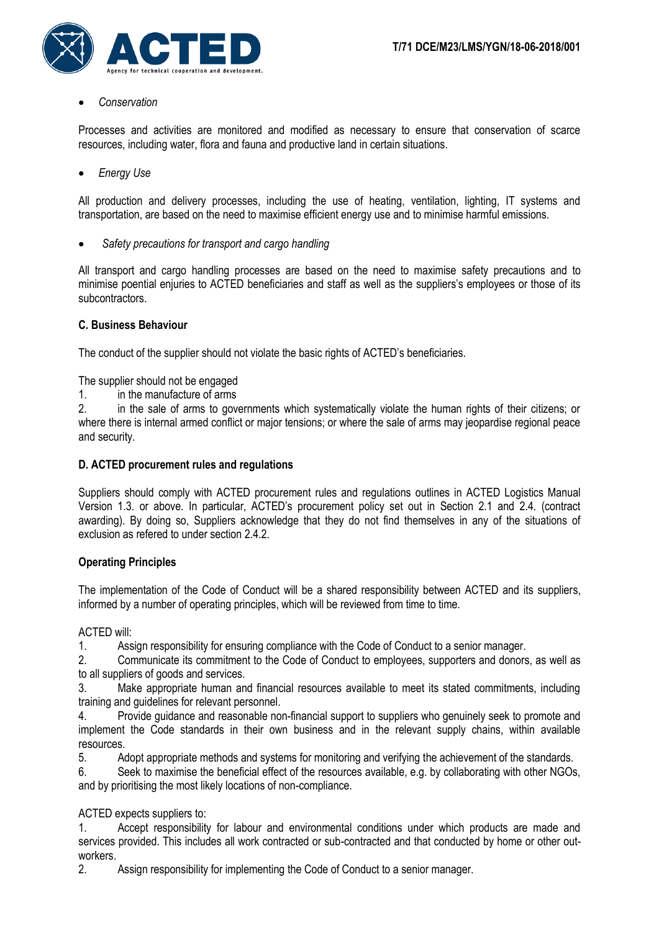

*Conservation*

Processes and activities are monitored and modified as necessary to ensure that conservation of scarce resources, including water, flora and fauna and productive land in certain situations.

*Energy Use* 

All production and delivery processes, including the use of heating, ventilation, lighting, IT systems and transportation, are based on the need to maximise efficient energy use and to minimise harmful emissions.

*Safety precautions for transport and cargo handling*

All transport and cargo handling processes are based on the need to maximise safety precautions and to minimise poential enjuries to ACTED beneficiaries and staff as well as the suppliers's employees or those of its subcontractors.

# **C. Business Behaviour**

The conduct of the supplier should not violate the basic rights of ACTED's beneficiaries.

The supplier should not be engaged

1. in the manufacture of arms

2. in the sale of arms to governments which systematically violate the human rights of their citizens; or where there is internal armed conflict or major tensions; or where the sale of arms may jeopardise regional peace and security.

# **D. ACTED procurement rules and regulations**

Suppliers should comply with ACTED procurement rules and regulations outlines in ACTED Logistics Manual Version 1.3. or above. In particular, ACTED's procurement policy set out in Section 2.1 and 2.4. (contract awarding). By doing so, Suppliers acknowledge that they do not find themselves in any of the situations of exclusion as refered to under section 2.4.2.

# **Operating Principles**

The implementation of the Code of Conduct will be a shared responsibility between ACTED and its suppliers, informed by a number of operating principles, which will be reviewed from time to time.

ACTED will:

1. Assign responsibility for ensuring compliance with the Code of Conduct to a senior manager.

2. Communicate its commitment to the Code of Conduct to employees, supporters and donors, as well as to all suppliers of goods and services.

3. Make appropriate human and financial resources available to meet its stated commitments, including training and guidelines for relevant personnel.

4. Provide guidance and reasonable non-financial support to suppliers who genuinely seek to promote and implement the Code standards in their own business and in the relevant supply chains, within available resources.

5. Adopt appropriate methods and systems for monitoring and verifying the achievement of the standards.

6. Seek to maximise the beneficial effect of the resources available, e.g. by collaborating with other NGOs, and by prioritising the most likely locations of non-compliance.

ACTED expects suppliers to:

1. Accept responsibility for labour and environmental conditions under which products are made and services provided. This includes all work contracted or sub-contracted and that conducted by home or other outworkers.

2. Assign responsibility for implementing the Code of Conduct to a senior manager.